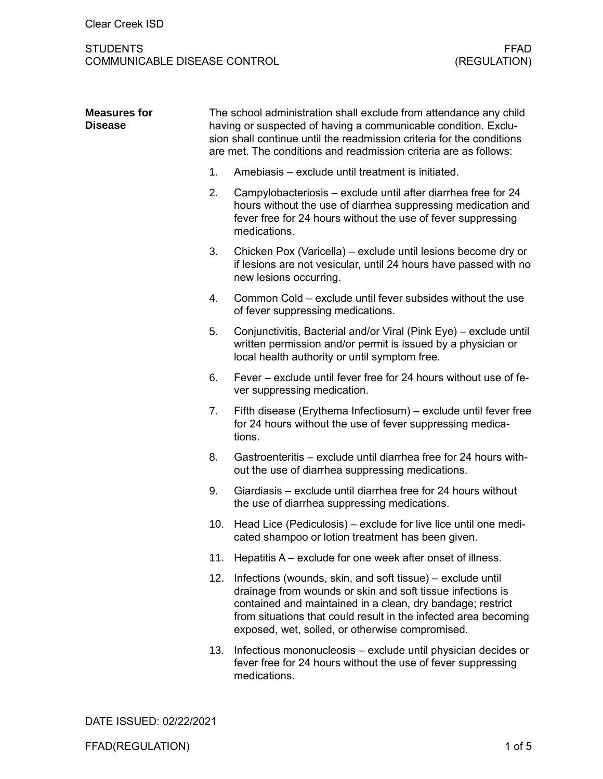# STUDENTS<br>COMMUNICABLE DISEASE CONTROL (REGULATION) COMMUNICABLE DISEASE CONTROL

| <b>Measures for</b><br><b>Disease</b> | The school administration shall exclude from attendance any child<br>having or suspected of having a communicable condition. Exclu-<br>sion shall continue until the readmission criteria for the conditions<br>are met. The conditions and readmission criteria are as follows: |                                                                                                                                                                                                                                                                                                              |  |
|---------------------------------------|----------------------------------------------------------------------------------------------------------------------------------------------------------------------------------------------------------------------------------------------------------------------------------|--------------------------------------------------------------------------------------------------------------------------------------------------------------------------------------------------------------------------------------------------------------------------------------------------------------|--|
|                                       | 1.                                                                                                                                                                                                                                                                               | Amebiasis - exclude until treatment is initiated.                                                                                                                                                                                                                                                            |  |
|                                       | 2.                                                                                                                                                                                                                                                                               | Campylobacteriosis - exclude until after diarrhea free for 24<br>hours without the use of diarrhea suppressing medication and<br>fever free for 24 hours without the use of fever suppressing<br>medications.                                                                                                |  |
|                                       | 3.                                                                                                                                                                                                                                                                               | Chicken Pox (Varicella) – exclude until lesions become dry or<br>if lesions are not vesicular, until 24 hours have passed with no<br>new lesions occurring.                                                                                                                                                  |  |
|                                       | 4.                                                                                                                                                                                                                                                                               | Common Cold – exclude until fever subsides without the use<br>of fever suppressing medications.                                                                                                                                                                                                              |  |
|                                       | 5.                                                                                                                                                                                                                                                                               | Conjunctivitis, Bacterial and/or Viral (Pink Eye) - exclude until<br>written permission and/or permit is issued by a physician or<br>local health authority or until symptom free.                                                                                                                           |  |
|                                       | 6.                                                                                                                                                                                                                                                                               | Fever – exclude until fever free for 24 hours without use of fe-<br>ver suppressing medication.                                                                                                                                                                                                              |  |
|                                       | 7.                                                                                                                                                                                                                                                                               | Fifth disease (Erythema Infectiosum) – exclude until fever free<br>for 24 hours without the use of fever suppressing medica-<br>tions.                                                                                                                                                                       |  |
|                                       | 8.                                                                                                                                                                                                                                                                               | Gastroenteritis – exclude until diarrhea free for 24 hours with-<br>out the use of diarrhea suppressing medications.                                                                                                                                                                                         |  |
|                                       | 9.                                                                                                                                                                                                                                                                               | Giardiasis – exclude until diarrhea free for 24 hours without<br>the use of diarrhea suppressing medications.                                                                                                                                                                                                |  |
|                                       | 10.                                                                                                                                                                                                                                                                              | Head Lice (Pediculosis) - exclude for live lice until one medi-<br>cated shampoo or lotion treatment has been given.                                                                                                                                                                                         |  |
|                                       | 11.                                                                                                                                                                                                                                                                              | Hepatitis A – exclude for one week after onset of illness.                                                                                                                                                                                                                                                   |  |
|                                       | 12.                                                                                                                                                                                                                                                                              | Infections (wounds, skin, and soft tissue) – exclude until<br>drainage from wounds or skin and soft tissue infections is<br>contained and maintained in a clean, dry bandage; restrict<br>from situations that could result in the infected area becoming<br>exposed, wet, soiled, or otherwise compromised. |  |
|                                       | 13.                                                                                                                                                                                                                                                                              | Infectious mononucleosis - exclude until physician decides or<br>fever free for 24 hours without the use of fever suppressing<br>medications.                                                                                                                                                                |  |

DATE ISSUED: 02/22/2021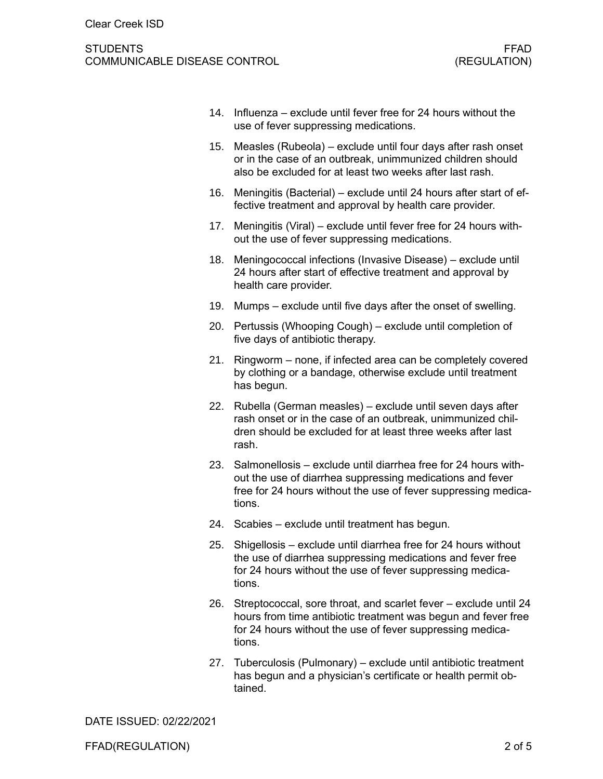## STUDENTS FFAD COMMUNICABLE DISEASE CONTROL (REGULATION)

- 14. Influenza exclude until fever free for 24 hours without the use of fever suppressing medications.
- 15. Measles (Rubeola) exclude until four days after rash onset or in the case of an outbreak, unimmunized children should also be excluded for at least two weeks after last rash.
- 16. Meningitis (Bacterial) exclude until 24 hours after start of effective treatment and approval by health care provider.
- 17. Meningitis (Viral) exclude until fever free for 24 hours without the use of fever suppressing medications.
- 18. Meningococcal infections (Invasive Disease) exclude until 24 hours after start of effective treatment and approval by health care provider.
- 19. Mumps exclude until five days after the onset of swelling.
- 20. Pertussis (Whooping Cough) exclude until completion of five days of antibiotic therapy.
- 21. Ringworm none, if infected area can be completely covered by clothing or a bandage, otherwise exclude until treatment has begun.
- 22. Rubella (German measles) exclude until seven days after rash onset or in the case of an outbreak, unimmunized children should be excluded for at least three weeks after last rash.
- 23. Salmonellosis exclude until diarrhea free for 24 hours without the use of diarrhea suppressing medications and fever free for 24 hours without the use of fever suppressing medications.
- 24. Scabies exclude until treatment has begun.
- 25. Shigellosis exclude until diarrhea free for 24 hours without the use of diarrhea suppressing medications and fever free for 24 hours without the use of fever suppressing medications.
- 26. Streptococcal, sore throat, and scarlet fever exclude until 24 hours from time antibiotic treatment was begun and fever free for 24 hours without the use of fever suppressing medications.
- 27. Tuberculosis (Pulmonary) exclude until antibiotic treatment has begun and a physician's certificate or health permit obtained.

DATE ISSUED: 02/22/2021

FFAD(REGULATION) 2 of 5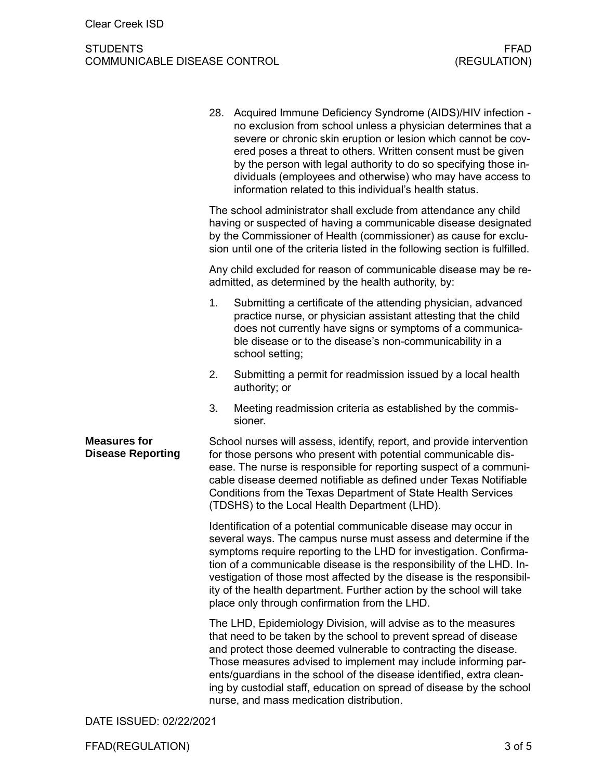# STUDENTS<br>COMMUNICABLE DISEASE CONTROL (REGULATION) COMMUNICABLE DISEASE CONTROL

|                                                 | 28.                                                                                                                                                                                                                                                                                                                                                                                                                                                                                | Acquired Immune Deficiency Syndrome (AIDS)/HIV infection -<br>no exclusion from school unless a physician determines that a<br>severe or chronic skin eruption or lesion which cannot be cov-<br>ered poses a threat to others. Written consent must be given<br>by the person with legal authority to do so specifying those in-<br>dividuals (employees and otherwise) who may have access to<br>information related to this individual's health status. |  |  |
|-------------------------------------------------|------------------------------------------------------------------------------------------------------------------------------------------------------------------------------------------------------------------------------------------------------------------------------------------------------------------------------------------------------------------------------------------------------------------------------------------------------------------------------------|------------------------------------------------------------------------------------------------------------------------------------------------------------------------------------------------------------------------------------------------------------------------------------------------------------------------------------------------------------------------------------------------------------------------------------------------------------|--|--|
|                                                 | The school administrator shall exclude from attendance any child<br>having or suspected of having a communicable disease designated<br>by the Commissioner of Health (commissioner) as cause for exclu-<br>sion until one of the criteria listed in the following section is fulfilled.                                                                                                                                                                                            |                                                                                                                                                                                                                                                                                                                                                                                                                                                            |  |  |
|                                                 | Any child excluded for reason of communicable disease may be re-<br>admitted, as determined by the health authority, by:                                                                                                                                                                                                                                                                                                                                                           |                                                                                                                                                                                                                                                                                                                                                                                                                                                            |  |  |
|                                                 | 1.                                                                                                                                                                                                                                                                                                                                                                                                                                                                                 | Submitting a certificate of the attending physician, advanced<br>practice nurse, or physician assistant attesting that the child<br>does not currently have signs or symptoms of a communica-<br>ble disease or to the disease's non-communicability in a<br>school setting;                                                                                                                                                                               |  |  |
|                                                 | 2.                                                                                                                                                                                                                                                                                                                                                                                                                                                                                 | Submitting a permit for readmission issued by a local health<br>authority; or                                                                                                                                                                                                                                                                                                                                                                              |  |  |
|                                                 | 3.                                                                                                                                                                                                                                                                                                                                                                                                                                                                                 | Meeting readmission criteria as established by the commis-<br>sioner.                                                                                                                                                                                                                                                                                                                                                                                      |  |  |
| <b>Measures for</b><br><b>Disease Reporting</b> | School nurses will assess, identify, report, and provide intervention<br>for those persons who present with potential communicable dis-<br>ease. The nurse is responsible for reporting suspect of a communi-<br>cable disease deemed notifiable as defined under Texas Notifiable<br>Conditions from the Texas Department of State Health Services<br>(TDSHS) to the Local Health Department (LHD).                                                                               |                                                                                                                                                                                                                                                                                                                                                                                                                                                            |  |  |
|                                                 | Identification of a potential communicable disease may occur in<br>several ways. The campus nurse must assess and determine if the<br>symptoms require reporting to the LHD for investigation. Confirma-<br>tion of a communicable disease is the responsibility of the LHD. In-<br>vestigation of those most affected by the disease is the responsibil-<br>ity of the health department. Further action by the school will take<br>place only through confirmation from the LHD. |                                                                                                                                                                                                                                                                                                                                                                                                                                                            |  |  |
|                                                 | The LHD, Epidemiology Division, will advise as to the measures<br>that need to be taken by the school to prevent spread of disease<br>and protect those deemed vulnerable to contracting the disease.<br>Those measures advised to implement may include informing par-<br>ents/guardians in the school of the disease identified, extra clean-<br>ing by custodial staff, education on spread of disease by the school<br>nurse, and mass medication distribution.                |                                                                                                                                                                                                                                                                                                                                                                                                                                                            |  |  |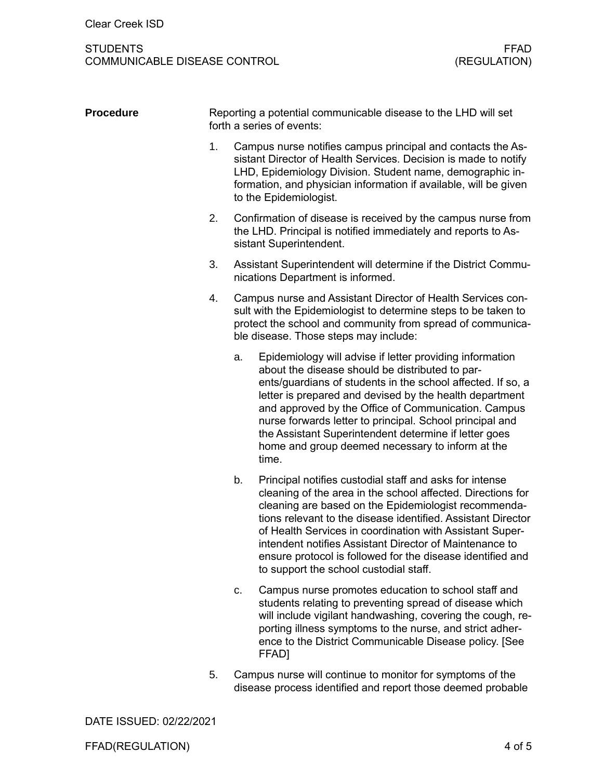## STUDENTS FFAD COMMUNICABLE DISEASE CONTROL

| <b>Procedure</b> | Reporting a potential communicable disease to the LHD will set<br>forth a series of events: |                                                                                                                                                                                                                                                                                                                                                                                                                                                                                |  |  |
|------------------|---------------------------------------------------------------------------------------------|--------------------------------------------------------------------------------------------------------------------------------------------------------------------------------------------------------------------------------------------------------------------------------------------------------------------------------------------------------------------------------------------------------------------------------------------------------------------------------|--|--|
|                  | 1.                                                                                          | Campus nurse notifies campus principal and contacts the As-<br>sistant Director of Health Services. Decision is made to notify<br>LHD, Epidemiology Division. Student name, demographic in-<br>formation, and physician information if available, will be given<br>to the Epidemiologist.                                                                                                                                                                                      |  |  |
|                  | 2.                                                                                          | Confirmation of disease is received by the campus nurse from<br>the LHD. Principal is notified immediately and reports to As-<br>sistant Superintendent.                                                                                                                                                                                                                                                                                                                       |  |  |
|                  | 3.                                                                                          | Assistant Superintendent will determine if the District Commu-<br>nications Department is informed.                                                                                                                                                                                                                                                                                                                                                                            |  |  |
|                  | 4.                                                                                          | Campus nurse and Assistant Director of Health Services con-<br>sult with the Epidemiologist to determine steps to be taken to<br>protect the school and community from spread of communica-<br>ble disease. Those steps may include:                                                                                                                                                                                                                                           |  |  |
|                  |                                                                                             | Epidemiology will advise if letter providing information<br>about the disease should be distributed to par-<br>ents/guardians of students in the school affected. If so, a<br>letter is prepared and devised by the health department<br>and approved by the Office of Communication. Campus<br>nurse forwards letter to principal. School principal and<br>the Assistant Superintendent determine if letter goes<br>home and group deemed necessary to inform at the<br>time. |  |  |
|                  |                                                                                             | Principal notifies custodial staff and asks for intense<br>cleaning of the area in the school affected. Directions for<br>cleaning are based on the Epidemiologist recommenda-<br>tions relevant to the disease identified. Assistant Director<br>of Health Services in coordination with Assistant Super-<br>intendent notifies Assistant Director of Maintenance to<br>ensure protocol is followed for the disease identified and<br>to support the school custodial staff.  |  |  |
|                  |                                                                                             | Campus nurse promotes education to school staff and<br>students relating to preventing spread of disease which<br>will include vigilant handwashing, covering the cough, re-<br>porting illness symptoms to the nurse, and strict adher-<br>ence to the District Communicable Disease policy. [See<br>FFAD]                                                                                                                                                                    |  |  |

5. Campus nurse will continue to monitor for symptoms of the disease process identified and report those deemed probable

DATE ISSUED: 02/22/2021